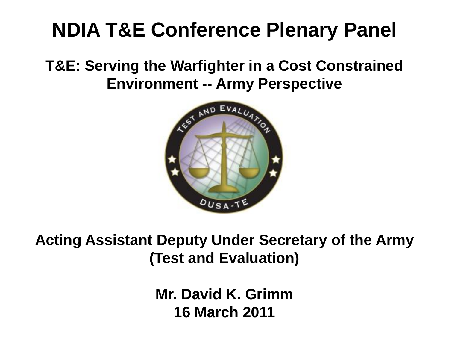## **NDIA T&E Conference Plenary Panel**

**T&E: Serving the Warfighter in a Cost Constrained Environment -- Army Perspective**



**Acting Assistant Deputy Under Secretary of the Army (Test and Evaluation)**

> **Mr. David K. Grimm 16 March 2011**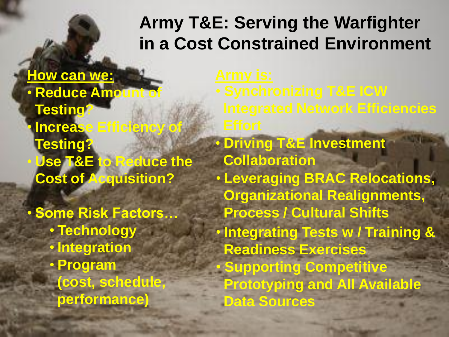## **Army T&E: Serving the Warfighter in a Cost Constrained Environment**

- **How can we:** • **Reduce Amount of Testing?** • **Increase Efficiency of Testing?** • **Use T&E to Reduce the Cost of Acquisition?**
- **Some Risk Factors…** • **Technology** • **Integration** • **Program (cost, schedule, performance)**
- 
- **Driving T&E Investment Collaboration** • **Leveraging BRAC Relocations, Organizational Realignments, Process / Cultural Shifts** • **Integrating Tests w / Training & Readiness Exercises** • **Supporting Competitive Prototyping and All Available Data Sources** • **Synchronizing T&E ICW Integrated Network Efficiencies**